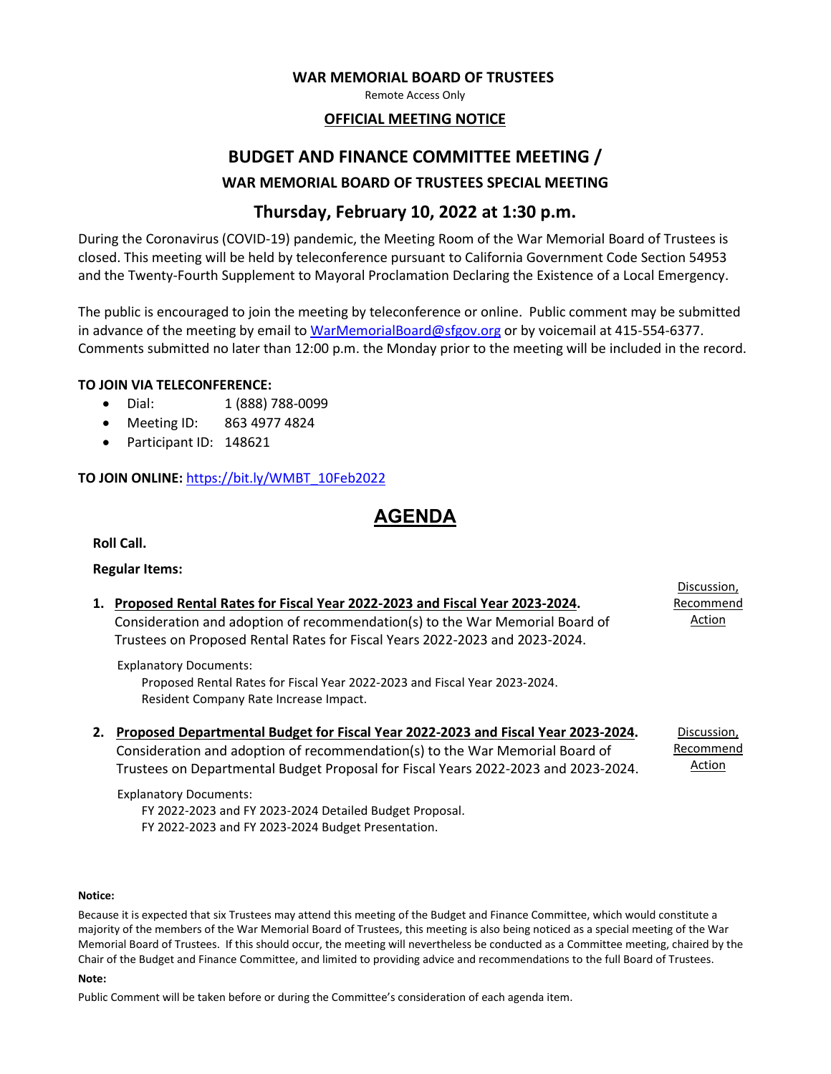#### **WAR MEMORIAL BOARD OF TRUSTEES**

Remote Access Only

### **OFFICIAL MEETING NOTICE**

## **BUDGET AND FINANCE COMMITTEE MEETING / WAR MEMORIAL BOARD OF TRUSTEES SPECIAL MEETING**

### **Thursday, February 10, 2022 at 1:30 p.m.**

During the Coronavirus (COVID-19) pandemic, the Meeting Room of the War Memorial Board of Trustees is closed. This meeting will be held by teleconference pursuant to California Government Code Section 54953 and the Twenty-Fourth Supplement to Mayoral Proclamation Declaring the Existence of a Local Emergency.

The public is encouraged to join the meeting by teleconference or online. Public comment may be submitted in advance of the meeting by email to [WarMemorialBoard@sfgov.org](mailto:WarMemorialBoard@sfgov.org) or by voicemail at 415-554-6377. Comments submitted no later than 12:00 p.m. the Monday prior to the meeting will be included in the record.

#### **TO JOIN VIA TELECONFERENCE:**

- Dial: 1 (888) 788-0099
- Meeting ID: 863 4977 4824
- Participant ID: 148621

### **TO JOIN ONLINE:** [https://bit.ly/WMBT\\_10Feb2022](https://bit.ly/WMBT_10Feb2022)

## **AGENDA**

**Roll Call.**

### **Regular Items:**

|    |                                                                                    | Discussion, |
|----|------------------------------------------------------------------------------------|-------------|
| 1. | Proposed Rental Rates for Fiscal Year 2022-2023 and Fiscal Year 2023-2024.         | Recommend   |
|    | Consideration and adoption of recommendation(s) to the War Memorial Board of       | Action      |
|    | Trustees on Proposed Rental Rates for Fiscal Years 2022-2023 and 2023-2024.        |             |
|    | <b>Explanatory Documents:</b>                                                      |             |
|    | Proposed Rental Rates for Fiscal Year 2022-2023 and Fiscal Year 2023-2024.         |             |
|    | Resident Company Rate Increase Impact.                                             |             |
| 2. | Proposed Departmental Budget for Fiscal Year 2022-2023 and Fiscal Year 2023-2024.  | Discussion, |
|    | Consideration and adoption of recommendation(s) to the War Memorial Board of       | Recommend   |
|    | Trustees on Departmental Budget Proposal for Fiscal Years 2022-2023 and 2023-2024. | Action      |
|    |                                                                                    |             |

Explanatory Documents:

FY 2022-2023 and FY 2023-2024 Detailed Budget Proposal. FY 2022-2023 and FY 2023-2024 Budget Presentation.

#### **Notice:**

Because it is expected that six Trustees may attend this meeting of the Budget and Finance Committee, which would constitute a majority of the members of the War Memorial Board of Trustees, this meeting is also being noticed as a special meeting of the War Memorial Board of Trustees. If this should occur, the meeting will nevertheless be conducted as a Committee meeting, chaired by the Chair of the Budget and Finance Committee, and limited to providing advice and recommendations to the full Board of Trustees.

#### **Note:**

Public Comment will be taken before or during the Committee's consideration of each agenda item.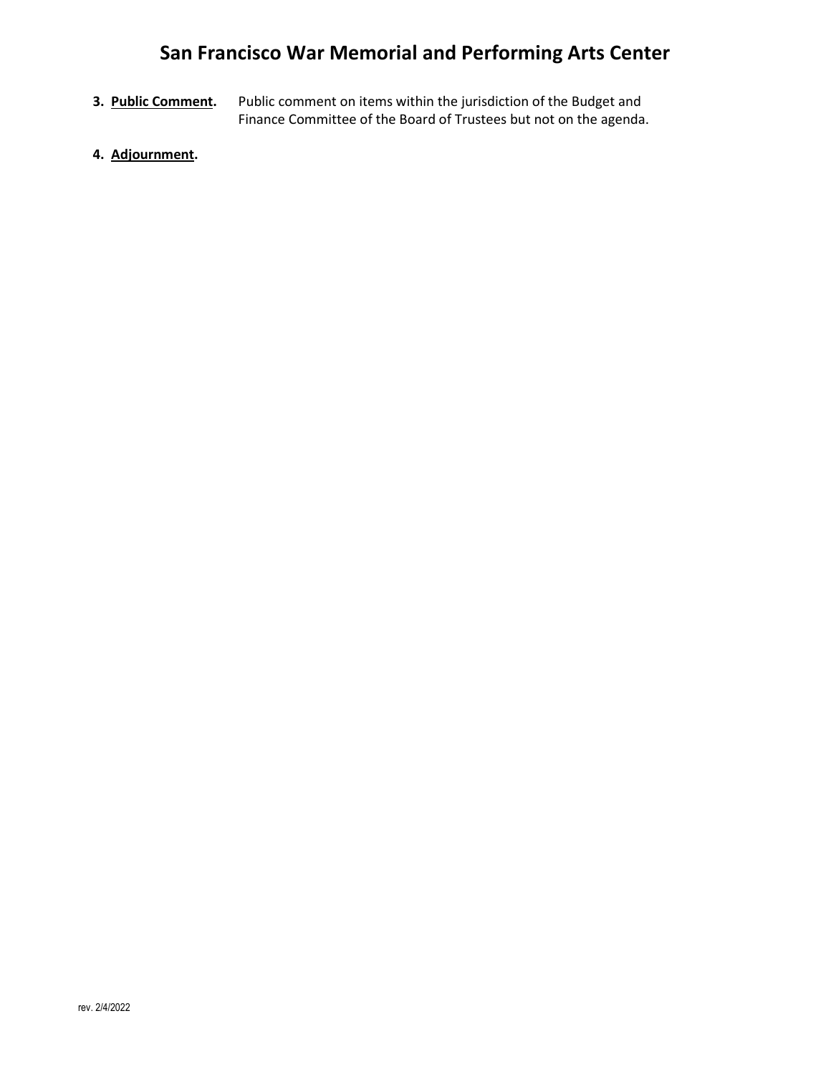# **San Francisco War Memorial and Performing Arts Center**

- **3. Public Comment.** Public comment on items within the jurisdiction of the Budget and Finance Committee of the Board of Trustees but not on the agenda.
- **4. Adjournment.**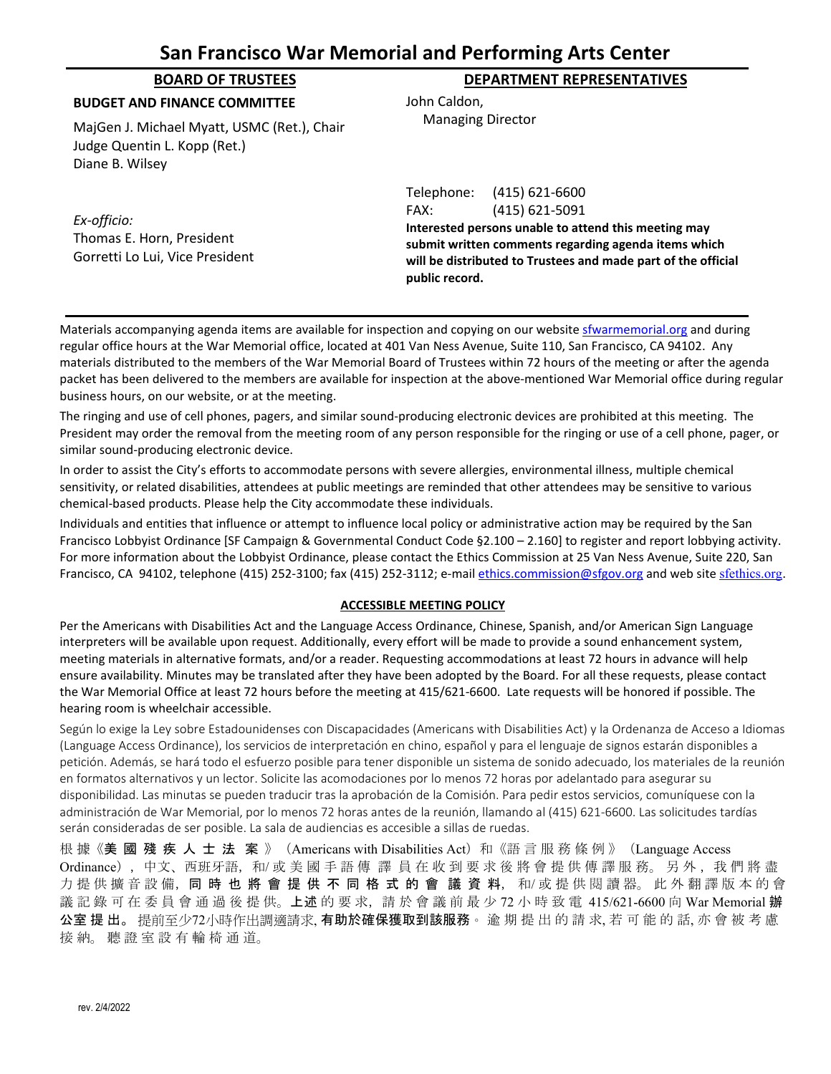## **San Francisco War Memorial and Performing Arts Center**

| <b>BOARD OF TRUSTEES</b>                                                                       | <b>DEPARTMENT REPRESENTATIVES</b>                                                                                                                                                                                                                         |  |
|------------------------------------------------------------------------------------------------|-----------------------------------------------------------------------------------------------------------------------------------------------------------------------------------------------------------------------------------------------------------|--|
| <b>BUDGET AND FINANCE COMMITTEE</b>                                                            | John Caldon,                                                                                                                                                                                                                                              |  |
| MajGen J. Michael Myatt, USMC (Ret.), Chair<br>Judge Quentin L. Kopp (Ret.)<br>Diane B. Wilsey | <b>Managing Director</b>                                                                                                                                                                                                                                  |  |
| Ex-officio:<br>Thomas E. Horn, President<br>Gorretti Lo Lui, Vice President                    | (415) 621-6600<br>Telephone:<br>(415) 621-5091<br>FAX:<br>Interested persons unable to attend this meeting may<br>submit written comments regarding agenda items which<br>will be distributed to Trustees and made part of the official<br>public record. |  |

Materials accompanying agenda items are available for inspection and copying on our websit[e sfwarmemorial.org](https://sfwarmemorial.org/) and during regular office hours at the War Memorial office, located at 401 Van Ness Avenue, Suite 110, San Francisco, CA 94102. Any materials distributed to the members of the War Memorial Board of Trustees within 72 hours of the meeting or after the agenda packet has been delivered to the members are available for inspection at the above-mentioned War Memorial office during regular business hours, on our website, or at the meeting.

The ringing and use of cell phones, pagers, and similar sound-producing electronic devices are prohibited at this meeting. The President may order the removal from the meeting room of any person responsible for the ringing or use of a cell phone, pager, or similar sound-producing electronic device.

In order to assist the City's efforts to accommodate persons with severe allergies, environmental illness, multiple chemical sensitivity, or related disabilities, attendees at public meetings are reminded that other attendees may be sensitive to various chemical-based products. Please help the City accommodate these individuals.

Individuals and entities that influence or attempt to influence local policy or administrative action may be required by the San Francisco Lobbyist Ordinance [SF Campaign & Governmental Conduct Code §2.100 – 2.160] to register and report lobbying activity. For more information about the Lobbyist Ordinance, please contact the Ethics Commission at 25 Van Ness Avenue, Suite 220, San Francisco, CA 94102, telephone (415) 252-3100; fax (415) 252-3112; e-mai[l ethics.commission@sfgov.org](mailto:ethics.commission@sfgov.org) and web site [sfethics.org](https://sfethics.org/).

#### **ACCESSIBLE MEETING POLICY**

Per the Americans with Disabilities Act and the Language Access Ordinance, Chinese, Spanish, and/or American Sign Language interpreters will be available upon request. Additionally, every effort will be made to provide a sound enhancement system, meeting materials in alternative formats, and/or a reader. Requesting accommodations at least 72 hours in advance will help ensure availability. Minutes may be translated after they have been adopted by the Board. For all these requests, please contact the War Memorial Office at least 72 hours before the meeting at 415/621-6600. Late requests will be honored if possible. The hearing room is wheelchair accessible.

Según lo exige la Ley sobre Estadounidenses con Discapacidades (Americans with Disabilities Act) y la Ordenanza de Acceso a Idiomas (Language Access Ordinance), los servicios de interpretación en chino, español y para el lenguaje de signos estarán disponibles a petición. Además, se hará todo el esfuerzo posible para tener disponible un sistema de sonido adecuado, los materiales de la reunión en formatos alternativos y un lector. Solicite las acomodaciones por lo menos 72 horas por adelantado para asegurar su disponibilidad. Las minutas se pueden traducir tras la aprobación de la Comisión. Para pedir estos servicios, comuníquese con la administración de War Memorial, por lo menos 72 horas antes de la reunión, llamando al (415) 621-6600. Las solicitudes tardías serán consideradas de ser posible. La sala de audiencias es accesible a sillas de ruedas.

根 據 《美 國 殘 疾 人 士 法 案 》 (Americans with Disabilities Act) 和 《語 言 服 務 條 例 》 (Language Access Ordinance), 中文、西班牙語, 和/ 或 美 國 手 語 傳 譯 員 在 收 到 要 求 後 將 會 提 供 傳 譯 服 務。 另 外, 我 們 將 盡 力 提 供 擴 音 設 備,同 時 也 將 會 提 供 不 同 格 式 的 會 議 資 料,和/或 提 供 閱 讀 器。 此 外 翻 譯 版 本 的 會 議 記 錄 可 在 委 員 會 通 過 後 提 供。**上述** 的 要 求,請 於 會 議 前 最 少 72 小 時 致 電 415/621-6600 向 War Memorial **辦** 公室 提 出。 提前至少72小時作出調適請求, 有助於確保獲取到該服務。 逾 期 提 出 的 請 求, 若 可 能 的 話, 亦 會 被 考 慮 接 納。 聽 證 室 設 有 輪 椅 通 道。